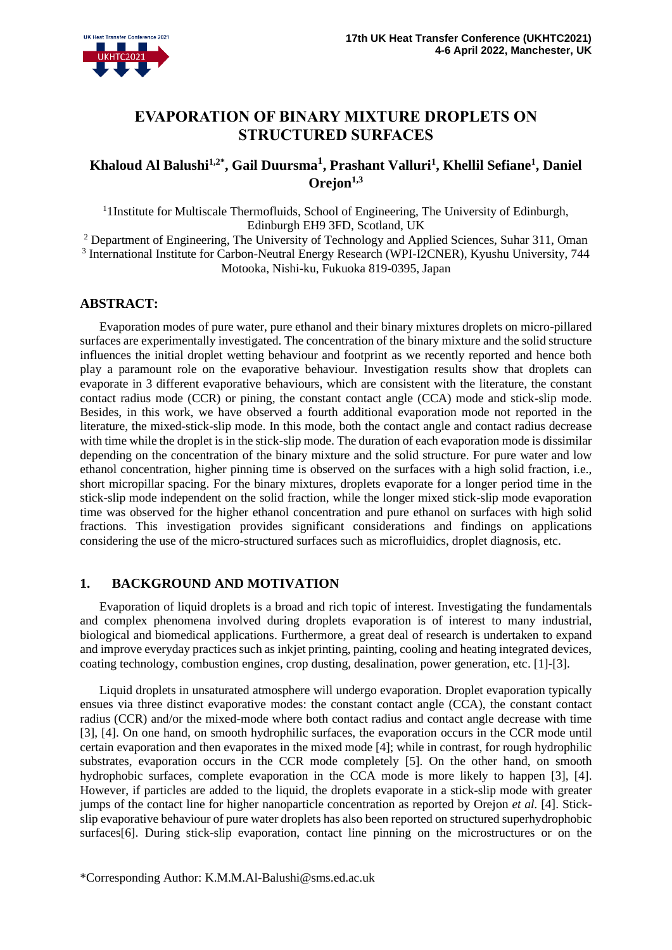# **EVAPORATION OF BINARY MIXTURE DROPLETS ON STRUCTURED SURFACES**

# **Khaloud Al Balushi1,2\* , Gail Duursma<sup>1</sup> , Prashant Valluri<sup>1</sup> , Khellil Sefiane<sup>1</sup> , Daniel Orejon1,3**

<sup>1</sup> I Institute for Multiscale Thermofluids, School of Engineering, The University of Edinburgh, Edinburgh EH9 3FD, Scotland, UK

<sup>2</sup> Department of Engineering, The University of Technology and Applied Sciences, Suhar 311, Oman <sup>3</sup> International Institute for Carbon-Neutral Energy Research (WPI-I2CNER), Kyushu University, 744 Motooka, Nishi-ku, Fukuoka 819-0395, Japan

# **ABSTRACT:**

Evaporation modes of pure water, pure ethanol and their binary mixtures droplets on micro-pillared surfaces are experimentally investigated. The concentration of the binary mixture and the solid structure influences the initial droplet wetting behaviour and footprint as we recently reported and hence both play a paramount role on the evaporative behaviour. Investigation results show that droplets can evaporate in 3 different evaporative behaviours, which are consistent with the literature, the constant contact radius mode (CCR) or pining, the constant contact angle (CCA) mode and stick-slip mode. Besides, in this work, we have observed a fourth additional evaporation mode not reported in the literature, the mixed-stick-slip mode. In this mode, both the contact angle and contact radius decrease with time while the droplet is in the stick-slip mode. The duration of each evaporation mode is dissimilar depending on the concentration of the binary mixture and the solid structure. For pure water and low ethanol concentration, higher pinning time is observed on the surfaces with a high solid fraction, i.e., short micropillar spacing. For the binary mixtures, droplets evaporate for a longer period time in the stick-slip mode independent on the solid fraction, while the longer mixed stick-slip mode evaporation time was observed for the higher ethanol concentration and pure ethanol on surfaces with high solid fractions. This investigation provides significant considerations and findings on applications considering the use of the micro-structured surfaces such as microfluidics, droplet diagnosis, etc.

# **1. BACKGROUND AND MOTIVATION**

Evaporation of liquid droplets is a broad and rich topic of interest. Investigating the fundamentals and complex phenomena involved during droplets evaporation is of interest to many industrial, biological and biomedical applications. Furthermore, a great deal of research is undertaken to expand and improve everyday practices such as inkjet printing, painting, cooling and heating integrated devices, coating technology, combustion engines, crop dusting, desalination, power generation, etc. [1]-[3].

Liquid droplets in unsaturated atmosphere will undergo evaporation. Droplet evaporation typically ensues via three distinct evaporative modes: the constant contact angle (CCA), the constant contact radius (CCR) and/or the mixed-mode where both contact radius and contact angle decrease with time [3], [4]. On one hand, on smooth hydrophilic surfaces, the evaporation occurs in the CCR mode until certain evaporation and then evaporates in the mixed mode [4]; while in contrast, for rough hydrophilic substrates, evaporation occurs in the CCR mode completely [5]. On the other hand, on smooth hydrophobic surfaces, complete evaporation in the CCA mode is more likely to happen [3], [4]. However, if particles are added to the liquid, the droplets evaporate in a stick-slip mode with greater jumps of the contact line for higher nanoparticle concentration as reported by Orejon *et al.* [4]. Stickslip evaporative behaviour of pure water droplets has also been reported on structured superhydrophobic surfaces[6]. During stick-slip evaporation, contact line pinning on the microstructures or on the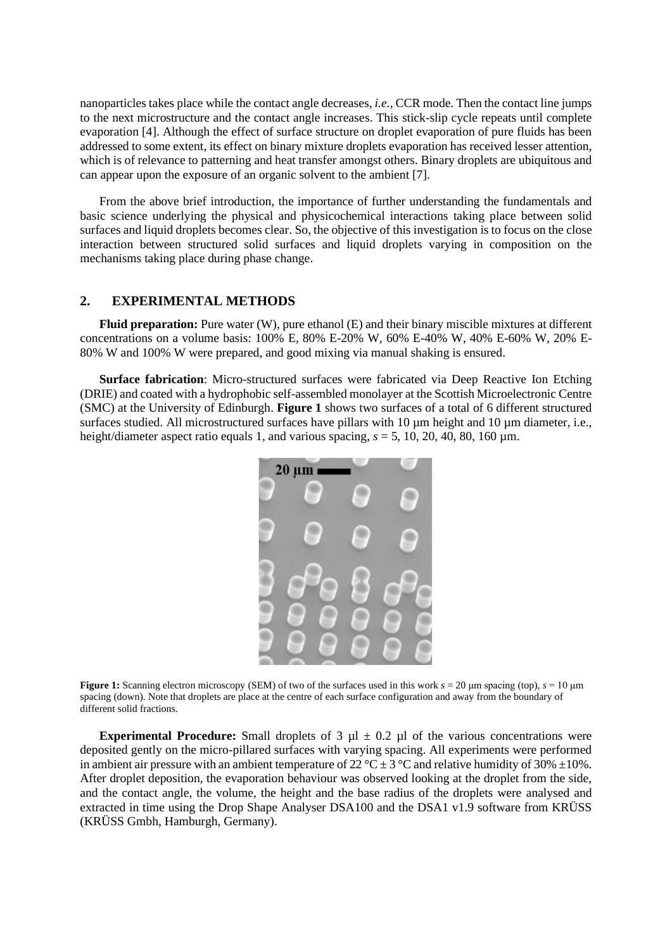nanoparticles takes place while the contact angle decreases, *i.e.*, CCR mode. Then the contact line jumps to the next microstructure and the contact angle increases. This stick-slip cycle repeats until complete evaporation [4]. Although the effect of surface structure on droplet evaporation of pure fluids has been addressed to some extent, its effect on binary mixture droplets evaporation has received lesser attention, which is of relevance to patterning and heat transfer amongst others. Binary droplets are ubiquitous and can appear upon the exposure of an organic solvent to the ambient [7].

From the above brief introduction, the importance of further understanding the fundamentals and basic science underlying the physical and physicochemical interactions taking place between solid surfaces and liquid droplets becomes clear. So, the objective of this investigation is to focus on the close interaction between structured solid surfaces and liquid droplets varying in composition on the mechanisms taking place during phase change.

#### **2. EXPERIMENTAL METHODS**

**Fluid preparation:** Pure water (W), pure ethanol (E) and their binary miscible mixtures at different concentrations on a volume basis: 100% E, 80% E-20% W, 60% E-40% W, 40% E-60% W, 20% E-80% W and 100% W were prepared, and good mixing via manual shaking is ensured.

**Surface fabrication**: Micro-structured surfaces were fabricated via Deep Reactive Ion Etching (DRIE) and coated with a hydrophobic self-assembled monolayer at the Scottish Microelectronic Centre (SMC) at the University of Edinburgh. **Figure 1** shows two surfaces of a total of 6 different structured surfaces studied. All microstructured surfaces have pillars with 10  $\mu$ m height and 10  $\mu$ m diameter, i.e., height/diameter aspect ratio equals 1, and various spacing,  $s = 5$ , 10, 20, 40, 80, 160  $\mu$ m.



**Figure 1:** Scanning electron microscopy (SEM) of two of the surfaces used in this work *s* = 20 μm spacing (top), *s* = 10 μm spacing (down). Note that droplets are place at the centre of each surface configuration and away from the boundary of different solid fractions.

**Experimental Procedure:** Small droplets of 3  $\mu$ l  $\pm$  0.2  $\mu$ l of the various concentrations were deposited gently on the micro-pillared surfaces with varying spacing. All experiments were performed in ambient air pressure with an ambient temperature of 22 °C  $\pm$  3 °C and relative humidity of 30%  $\pm$ 10%. After droplet deposition, the evaporation behaviour was observed looking at the droplet from the side, and the contact angle, the volume, the height and the base radius of the droplets were analysed and extracted in time using the Drop Shape Analyser DSA100 and the DSA1 v1.9 software from KRÜSS (KRÜSS Gmbh, Hamburgh, Germany).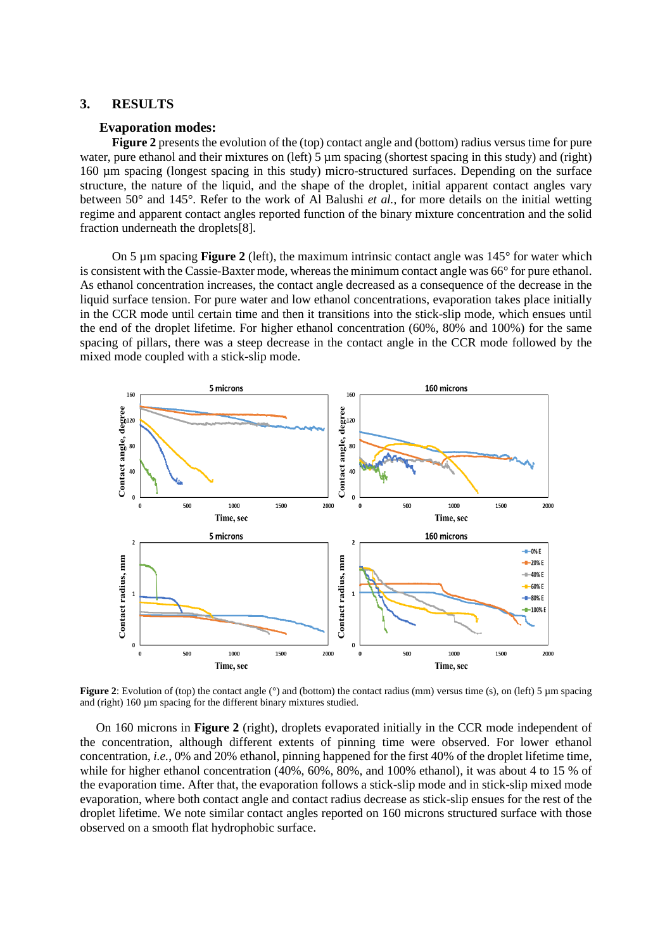# **3. RESULTS**

#### **Evaporation modes:**

**Figure 2** presents the evolution of the (top) contact angle and (bottom) radius versus time for pure water, pure ethanol and their mixtures on (left) 5 µm spacing (shortest spacing in this study) and (right) 160 µm spacing (longest spacing in this study) micro-structured surfaces. Depending on the surface structure, the nature of the liquid, and the shape of the droplet, initial apparent contact angles vary between 50° and 145°. Refer to the work of Al Balushi *et al.*, for more details on the initial wetting regime and apparent contact angles reported function of the binary mixture concentration and the solid fraction underneath the droplets[8].

On 5 µm spacing **Figure 2** (left), the maximum intrinsic contact angle was 145° for water which is consistent with the Cassie-Baxter mode, whereas the minimum contact angle was 66° for pure ethanol. As ethanol concentration increases, the contact angle decreased as a consequence of the decrease in the liquid surface tension. For pure water and low ethanol concentrations, evaporation takes place initially in the CCR mode until certain time and then it transitions into the stick-slip mode, which ensues until the end of the droplet lifetime. For higher ethanol concentration (60%, 80% and 100%) for the same spacing of pillars, there was a steep decrease in the contact angle in the CCR mode followed by the mixed mode coupled with a stick-slip mode.



**Figure 2**: Evolution of (top) the contact angle (°) and (bottom) the contact radius (mm) versus time (s), on (left) 5 µm spacing and (right) 160 µm spacing for the different binary mixtures studied.

On 160 microns in **Figure 2** (right), droplets evaporated initially in the CCR mode independent of the concentration, although different extents of pinning time were observed. For lower ethanol concentration, *i.e.*, 0% and 20% ethanol, pinning happened for the first 40% of the droplet lifetime time, while for higher ethanol concentration (40%, 60%, 80%, and 100% ethanol), it was about 4 to 15 % of the evaporation time. After that, the evaporation follows a stick-slip mode and in stick-slip mixed mode evaporation, where both contact angle and contact radius decrease as stick-slip ensues for the rest of the droplet lifetime. We note similar contact angles reported on 160 microns structured surface with those observed on a smooth flat hydrophobic surface.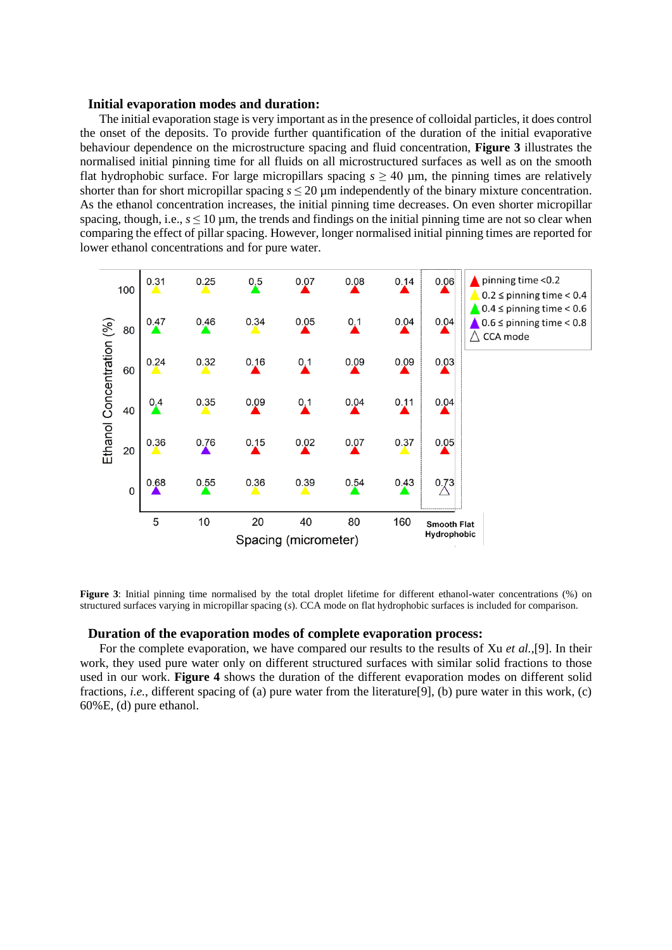### **Initial evaporation modes and duration:**

The initial evaporation stage is very important as in the presence of colloidal particles, it does control the onset of the deposits. To provide further quantification of the duration of the initial evaporative behaviour dependence on the microstructure spacing and fluid concentration, **Figure 3** illustrates the normalised initial pinning time for all fluids on all microstructured surfaces as well as on the smooth flat hydrophobic surface. For large micropillars spacing  $s \ge 40$  µm, the pinning times are relatively shorter than for short micropillar spacing  $s \le 20 \,\mu m$  independently of the binary mixture concentration. As the ethanol concentration increases, the initial pinning time decreases. On even shorter micropillar spacing, though, i.e.,  $s \le 10 \,\mu$ m, the trends and findings on the initial pinning time are not so clear when comparing the effect of pillar spacing. However, longer normalised initial pinning times are reported for lower ethanol concentrations and for pure water.



**Figure 3**: Initial pinning time normalised by the total droplet lifetime for different ethanol-water concentrations (%) on structured surfaces varying in micropillar spacing (*s*). CCA mode on flat hydrophobic surfaces is included for comparison.

# **Duration of the evaporation modes of complete evaporation process:**

For the complete evaporation, we have compared our results to the results of Xu *et al.*,[9]. In their work, they used pure water only on different structured surfaces with similar solid fractions to those used in our work. **Figure 4** shows the duration of the different evaporation modes on different solid fractions, *i.e.*, different spacing of (a) pure water from the literature[9], (b) pure water in this work, (c) 60%E, (d) pure ethanol.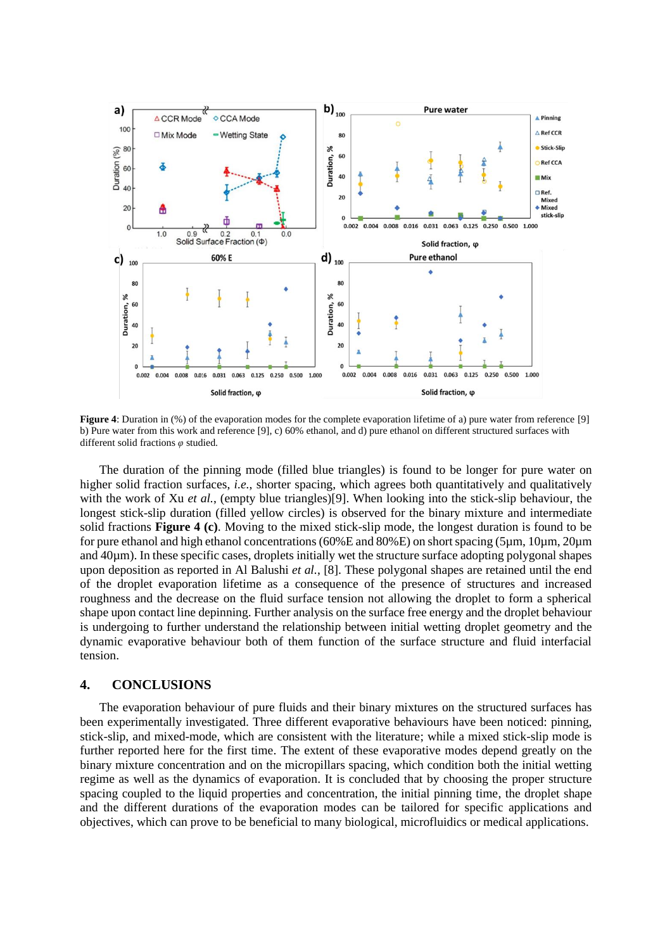

**Figure 4**: Duration in (%) of the evaporation modes for the complete evaporation lifetime of a) pure water from reference [9] b) Pure water from this work and reference [9], c) 60% ethanol, and d) pure ethanol on different structured surfaces with different solid fractions *φ* studied.

The duration of the pinning mode (filled blue triangles) is found to be longer for pure water on higher solid fraction surfaces, *i.e.*, shorter spacing, which agrees both quantitatively and qualitatively with the work of Xu *et al.*, (empty blue triangles)[9]. When looking into the stick-slip behaviour, the longest stick-slip duration (filled yellow circles) is observed for the binary mixture and intermediate solid fractions **Figure 4 (c)**. Moving to the mixed stick-slip mode, the longest duration is found to be for pure ethanol and high ethanol concentrations(60%E and 80%E) on short spacing (5µm, 10µm, 20µm and 40 $\mu$ m). In these specific cases, droplets initially wet the structure surface adopting polygonal shapes upon deposition as reported in Al Balushi *et al.*, [8]. These polygonal shapes are retained until the end of the droplet evaporation lifetime as a consequence of the presence of structures and increased roughness and the decrease on the fluid surface tension not allowing the droplet to form a spherical shape upon contact line depinning. Further analysis on the surface free energy and the droplet behaviour is undergoing to further understand the relationship between initial wetting droplet geometry and the dynamic evaporative behaviour both of them function of the surface structure and fluid interfacial tension.

# **4. CONCLUSIONS**

The evaporation behaviour of pure fluids and their binary mixtures on the structured surfaces has been experimentally investigated. Three different evaporative behaviours have been noticed: pinning, stick-slip, and mixed-mode, which are consistent with the literature; while a mixed stick-slip mode is further reported here for the first time. The extent of these evaporative modes depend greatly on the binary mixture concentration and on the micropillars spacing, which condition both the initial wetting regime as well as the dynamics of evaporation. It is concluded that by choosing the proper structure spacing coupled to the liquid properties and concentration, the initial pinning time, the droplet shape and the different durations of the evaporation modes can be tailored for specific applications and objectives, which can prove to be beneficial to many biological, microfluidics or medical applications.